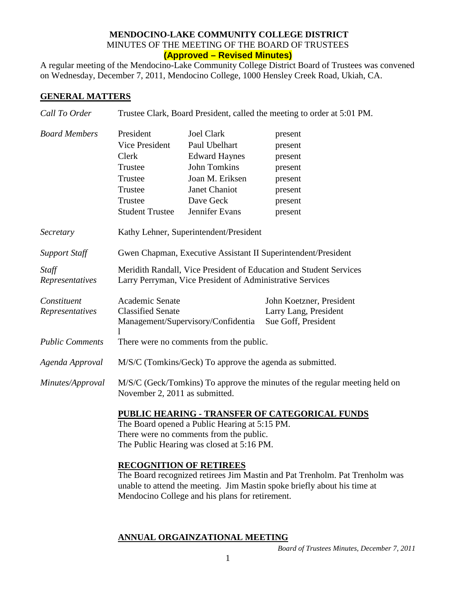## **MENDOCINO-LAKE COMMUNITY COLLEGE DISTRICT** MINUTES OF THE MEETING OF THE BOARD OF TRUSTEES **(Approved – Revised Minutes)**

A regular meeting of the Mendocino-Lake Community College District Board of Trustees was convened on Wednesday, December 7, 2011, Mendocino College, 1000 Hensley Creek Road, Ukiah, CA.

## **GENERAL MATTERS**

| Call To Order                  | Trustee Clark, Board President, called the meeting to order at 5:01 PM.                                                                                                                                                                      |                                                                                                                                                             |                                                                                      |  |
|--------------------------------|----------------------------------------------------------------------------------------------------------------------------------------------------------------------------------------------------------------------------------------------|-------------------------------------------------------------------------------------------------------------------------------------------------------------|--------------------------------------------------------------------------------------|--|
| <b>Board Members</b>           | President<br>Vice President<br>Clerk<br>Trustee<br>Trustee<br>Trustee<br>Trustee<br><b>Student Trustee</b>                                                                                                                                   | <b>Joel Clark</b><br>Paul Ubelhart<br><b>Edward Haynes</b><br><b>John Tomkins</b><br>Joan M. Eriksen<br><b>Janet Chaniot</b><br>Dave Geck<br>Jennifer Evans | present<br>present<br>present<br>present<br>present<br>present<br>present<br>present |  |
| Secretary                      | Kathy Lehner, Superintendent/President                                                                                                                                                                                                       |                                                                                                                                                             |                                                                                      |  |
| <b>Support Staff</b>           | Gwen Chapman, Executive Assistant II Superintendent/President                                                                                                                                                                                |                                                                                                                                                             |                                                                                      |  |
| Staff<br>Representatives       | Meridith Randall, Vice President of Education and Student Services<br>Larry Perryman, Vice President of Administrative Services                                                                                                              |                                                                                                                                                             |                                                                                      |  |
| Constituent<br>Representatives | Academic Senate<br><b>Classified Senate</b><br>Management/Supervisory/Confidentia                                                                                                                                                            |                                                                                                                                                             | John Koetzner, President<br>Larry Lang, President<br>Sue Goff, President             |  |
| <b>Public Comments</b>         | There were no comments from the public.                                                                                                                                                                                                      |                                                                                                                                                             |                                                                                      |  |
| Agenda Approval                | M/S/C (Tomkins/Geck) To approve the agenda as submitted.                                                                                                                                                                                     |                                                                                                                                                             |                                                                                      |  |
| Minutes/Approval               | M/S/C (Geck/Tomkins) To approve the minutes of the regular meeting held on<br>November 2, 2011 as submitted.                                                                                                                                 |                                                                                                                                                             |                                                                                      |  |
|                                | <b>PUBLIC HEARING - TRANSFER OF CATEGORICAL FUNDS</b><br>The Board opened a Public Hearing at 5:15 PM.<br>There were no comments from the public.<br>The Public Hearing was closed at 5:16 PM.                                               |                                                                                                                                                             |                                                                                      |  |
|                                | <b>RECOGNITION OF RETIREES</b><br>The Board recognized retirees Jim Mastin and Pat Trenholm. Pat Trenholm was<br>unable to attend the meeting. Jim Mastin spoke briefly about his time at<br>Mendocino College and his plans for retirement. |                                                                                                                                                             |                                                                                      |  |

## **ANNUAL ORGAINZATIONAL MEETING**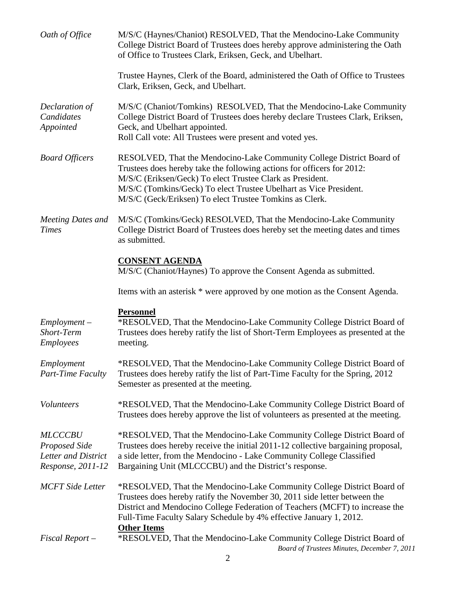| Oath of Office                                                              | M/S/C (Haynes/Chaniot) RESOLVED, That the Mendocino-Lake Community<br>College District Board of Trustees does hereby approve administering the Oath<br>of Office to Trustees Clark, Eriksen, Geck, and Ubelhart.                                                                                                                             |
|-----------------------------------------------------------------------------|----------------------------------------------------------------------------------------------------------------------------------------------------------------------------------------------------------------------------------------------------------------------------------------------------------------------------------------------|
|                                                                             | Trustee Haynes, Clerk of the Board, administered the Oath of Office to Trustees<br>Clark, Eriksen, Geck, and Ubelhart.                                                                                                                                                                                                                       |
| Declaration of<br>Candidates<br>Appointed                                   | M/S/C (Chaniot/Tomkins) RESOLVED, That the Mendocino-Lake Community<br>College District Board of Trustees does hereby declare Trustees Clark, Eriksen,<br>Geck, and Ubelhart appointed.<br>Roll Call vote: All Trustees were present and voted yes.                                                                                          |
| <b>Board Officers</b>                                                       | RESOLVED, That the Mendocino-Lake Community College District Board of<br>Trustees does hereby take the following actions for officers for 2012:<br>M/S/C (Eriksen/Geck) To elect Trustee Clark as President.<br>M/S/C (Tomkins/Geck) To elect Trustee Ubelhart as Vice President.<br>M/S/C (Geck/Eriksen) To elect Trustee Tomkins as Clerk. |
| <b>Meeting Dates and</b><br><b>Times</b>                                    | M/S/C (Tomkins/Geck) RESOLVED, That the Mendocino-Lake Community<br>College District Board of Trustees does hereby set the meeting dates and times<br>as submitted.                                                                                                                                                                          |
|                                                                             | <b>CONSENT AGENDA</b><br>M/S/C (Chaniot/Haynes) To approve the Consent Agenda as submitted.                                                                                                                                                                                                                                                  |
|                                                                             | Items with an asterisk * were approved by one motion as the Consent Agenda.                                                                                                                                                                                                                                                                  |
| $Employment -$<br>Short-Term<br><b>Employees</b>                            | <b>Personnel</b><br>*RESOLVED, That the Mendocino-Lake Community College District Board of<br>Trustees does hereby ratify the list of Short-Term Employees as presented at the<br>meeting.                                                                                                                                                   |
| Employment<br>Part-Time Faculty                                             | *RESOLVED, That the Mendocino-Lake Community College District Board of<br>Trustees does hereby ratify the list of Part-Time Faculty for the Spring, 2012<br>Semester as presented at the meeting.                                                                                                                                            |
| Volunteers                                                                  | *RESOLVED, That the Mendocino-Lake Community College District Board of<br>Trustees does hereby approve the list of volunteers as presented at the meeting.                                                                                                                                                                                   |
| <b>MLCCCBU</b><br>Proposed Side<br>Letter and District<br>Response, 2011-12 | *RESOLVED, That the Mendocino-Lake Community College District Board of<br>Trustees does hereby receive the initial 2011-12 collective bargaining proposal,<br>a side letter, from the Mendocino - Lake Community College Classified<br>Bargaining Unit (MLCCCBU) and the District's response.                                                |
| <b>MCFT</b> Side Letter                                                     | *RESOLVED, That the Mendocino-Lake Community College District Board of<br>Trustees does hereby ratify the November 30, 2011 side letter between the<br>District and Mendocino College Federation of Teachers (MCFT) to increase the<br>Full-Time Faculty Salary Schedule by 4% effective January 1, 2012.<br><b>Other Items</b>              |
| $Fixed$ Report $-$                                                          | *RESOLVED, That the Mendocino-Lake Community College District Board of<br>Board of Trustees Minutes, December 7, 2011                                                                                                                                                                                                                        |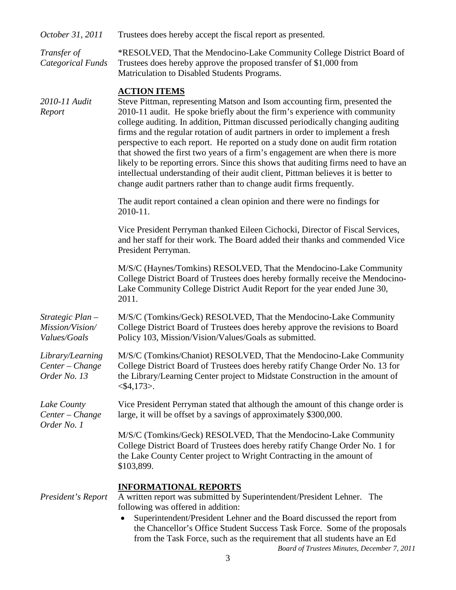| October 31, 2011                                    | Trustees does hereby accept the fiscal report as presented.                                                                                                                                                                                                                                                                                                                                                                                                                                                                                                                                                                                                                                                                                                                 |  |
|-----------------------------------------------------|-----------------------------------------------------------------------------------------------------------------------------------------------------------------------------------------------------------------------------------------------------------------------------------------------------------------------------------------------------------------------------------------------------------------------------------------------------------------------------------------------------------------------------------------------------------------------------------------------------------------------------------------------------------------------------------------------------------------------------------------------------------------------------|--|
| Transfer of<br><b>Categorical Funds</b>             | *RESOLVED, That the Mendocino-Lake Community College District Board of<br>Trustees does hereby approve the proposed transfer of \$1,000 from<br>Matriculation to Disabled Students Programs.                                                                                                                                                                                                                                                                                                                                                                                                                                                                                                                                                                                |  |
| 2010-11 Audit<br>Report                             | <b>ACTION ITEMS</b><br>Steve Pittman, representing Matson and Isom accounting firm, presented the<br>2010-11 audit. He spoke briefly about the firm's experience with community<br>college auditing. In addition, Pittman discussed periodically changing auditing<br>firms and the regular rotation of audit partners in order to implement a fresh<br>perspective to each report. He reported on a study done on audit firm rotation<br>that showed the first two years of a firm's engagement are when there is more<br>likely to be reporting errors. Since this shows that auditing firms need to have an<br>intellectual understanding of their audit client, Pittman believes it is better to<br>change audit partners rather than to change audit firms frequently. |  |
|                                                     | The audit report contained a clean opinion and there were no findings for<br>2010-11.                                                                                                                                                                                                                                                                                                                                                                                                                                                                                                                                                                                                                                                                                       |  |
|                                                     | Vice President Perryman thanked Eileen Cichocki, Director of Fiscal Services,<br>and her staff for their work. The Board added their thanks and commended Vice<br>President Perryman.                                                                                                                                                                                                                                                                                                                                                                                                                                                                                                                                                                                       |  |
|                                                     | M/S/C (Haynes/Tomkins) RESOLVED, That the Mendocino-Lake Community<br>College District Board of Trustees does hereby formally receive the Mendocino-<br>Lake Community College District Audit Report for the year ended June 30,<br>2011.                                                                                                                                                                                                                                                                                                                                                                                                                                                                                                                                   |  |
| Strategic Plan -<br>Mission/Vision/<br>Values/Goals | M/S/C (Tomkins/Geck) RESOLVED, That the Mendocino-Lake Community<br>College District Board of Trustees does hereby approve the revisions to Board<br>Policy 103, Mission/Vision/Values/Goals as submitted.                                                                                                                                                                                                                                                                                                                                                                                                                                                                                                                                                                  |  |
| Library/Learning<br>Center – Change<br>Order No. 13 | M/S/C (Tomkins/Chaniot) RESOLVED, That the Mendocino-Lake Community<br>College District Board of Trustees does hereby ratify Change Order No. 13 for<br>the Library/Learning Center project to Midstate Construction in the amount of<br>$<$ \$4,173>.                                                                                                                                                                                                                                                                                                                                                                                                                                                                                                                      |  |
| Lake County<br>$Center - Change$<br>Order No. 1     | Vice President Perryman stated that although the amount of this change order is<br>large, it will be offset by a savings of approximately \$300,000.                                                                                                                                                                                                                                                                                                                                                                                                                                                                                                                                                                                                                        |  |
|                                                     | M/S/C (Tomkins/Geck) RESOLVED, That the Mendocino-Lake Community<br>College District Board of Trustees does hereby ratify Change Order No. 1 for<br>the Lake County Center project to Wright Contracting in the amount of<br>\$103,899.                                                                                                                                                                                                                                                                                                                                                                                                                                                                                                                                     |  |
| President's Report                                  | <b>INFORMATIONAL REPORTS</b><br>A written report was submitted by Superintendent/President Lehner.<br>The<br>following was offered in addition:<br>Superintendent/President Lehner and the Board discussed the report from<br>the Chancellor's Office Student Success Task Force. Some of the proposals<br>from the Task Force, such as the requirement that all students have an Ed                                                                                                                                                                                                                                                                                                                                                                                        |  |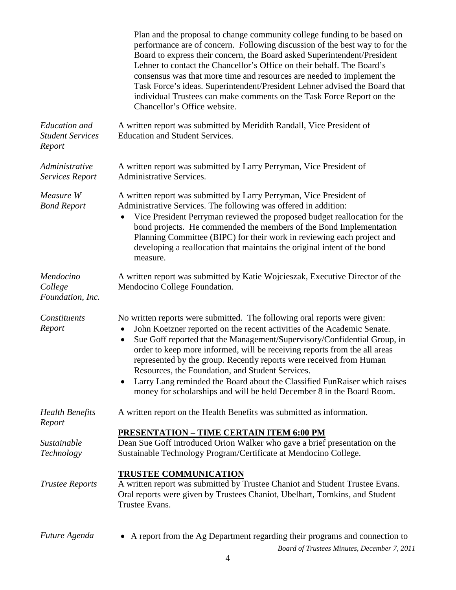|                                                           | Plan and the proposal to change community college funding to be based on<br>performance are of concern. Following discussion of the best way to for the<br>Board to express their concern, the Board asked Superintendent/President<br>Lehner to contact the Chancellor's Office on their behalf. The Board's<br>consensus was that more time and resources are needed to implement the<br>Task Force's ideas. Superintendent/President Lehner advised the Board that<br>individual Trustees can make comments on the Task Force Report on the<br>Chancellor's Office website.                              |
|-----------------------------------------------------------|-------------------------------------------------------------------------------------------------------------------------------------------------------------------------------------------------------------------------------------------------------------------------------------------------------------------------------------------------------------------------------------------------------------------------------------------------------------------------------------------------------------------------------------------------------------------------------------------------------------|
| <b>Education</b> and<br><b>Student Services</b><br>Report | A written report was submitted by Meridith Randall, Vice President of<br><b>Education and Student Services.</b>                                                                                                                                                                                                                                                                                                                                                                                                                                                                                             |
| Administrative<br><b>Services Report</b>                  | A written report was submitted by Larry Perryman, Vice President of<br><b>Administrative Services.</b>                                                                                                                                                                                                                                                                                                                                                                                                                                                                                                      |
| Measure W<br><b>Bond Report</b>                           | A written report was submitted by Larry Perryman, Vice President of<br>Administrative Services. The following was offered in addition:<br>Vice President Perryman reviewed the proposed budget reallocation for the<br>bond projects. He commended the members of the Bond Implementation<br>Planning Committee (BIPC) for their work in reviewing each project and<br>developing a reallocation that maintains the original intent of the bond<br>measure.                                                                                                                                                 |
| Mendocino<br>College<br>Foundation, Inc.                  | A written report was submitted by Katie Wojcieszak, Executive Director of the<br>Mendocino College Foundation.                                                                                                                                                                                                                                                                                                                                                                                                                                                                                              |
| Constituents<br>Report                                    | No written reports were submitted. The following oral reports were given:<br>John Koetzner reported on the recent activities of the Academic Senate.<br>Sue Goff reported that the Management/Supervisory/Confidential Group, in<br>order to keep more informed, will be receiving reports from the all areas<br>represented by the group. Recently reports were received from Human<br>Resources, the Foundation, and Student Services.<br>Larry Lang reminded the Board about the Classified FunRaiser which raises<br>$\bullet$<br>money for scholarships and will be held December 8 in the Board Room. |
| <b>Health Benefits</b><br>Report                          | A written report on the Health Benefits was submitted as information.                                                                                                                                                                                                                                                                                                                                                                                                                                                                                                                                       |
| Sustainable<br>Technology                                 | <b>PRESENTATION - TIME CERTAIN ITEM 6:00 PM</b><br>Dean Sue Goff introduced Orion Walker who gave a brief presentation on the<br>Sustainable Technology Program/Certificate at Mendocino College.                                                                                                                                                                                                                                                                                                                                                                                                           |
| <b>Trustee Reports</b>                                    | <b>TRUSTEE COMMUNICATION</b><br>A written report was submitted by Trustee Chaniot and Student Trustee Evans.<br>Oral reports were given by Trustees Chaniot, Ubelhart, Tomkins, and Student<br>Trustee Evans.                                                                                                                                                                                                                                                                                                                                                                                               |
| Future Agenda                                             | A report from the Ag Department regarding their programs and connection to                                                                                                                                                                                                                                                                                                                                                                                                                                                                                                                                  |